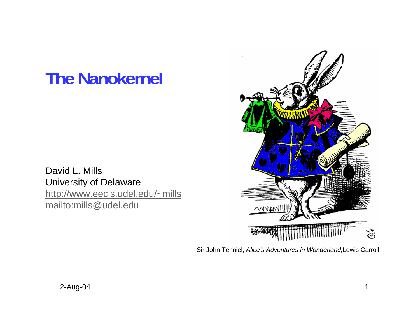# **The Nanokernel**

David L. Mills University of Delaware http://www.eecis.udel.edu/~mills mailto:mills@udel.edu



Sir John Tenniel; *Alice's Adventures in Wonderland,*Lewis Carroll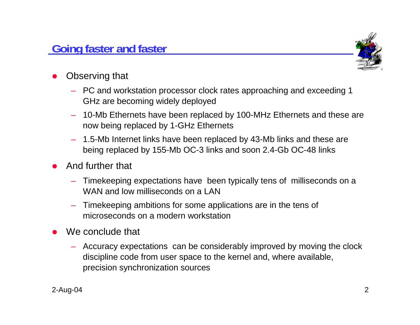## **Going faster and faster**



- O Observing that
	- PC and workstation processor clock rates approaching and exceeding 1 GHz are becoming widely deployed
	- 10-Mb Ethernets have been replaced by 100-MHz Ethernets and these are now being replaced by 1-GHz Ethernets
	- 1.5-Mb Internet links have been replaced by 43-Mb links and these are being replaced by 155-Mb OC-3 links and soon 2.4-Gb OC-48 links
- O And further that
	- Timekeeping expectations have been typically tens of milliseconds on a WAN and low milliseconds on a LAN
	- Timekeeping ambitions for some applications are in the tens of microseconds on a modern workstation
- O We conclude that
	- Accuracy expectations can be considerably improved by moving the clock discipline code from user space to the kernel and, where available, precision synchronization sources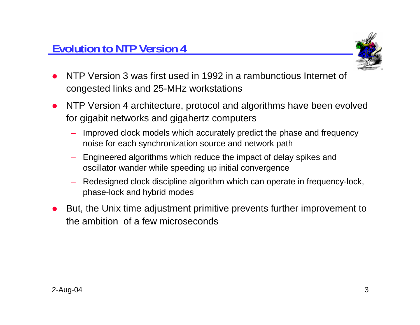

- O NTP Version 3 was first used in 1992 in a rambunctious Internet of congested links and 25-MHz workstations
- NTP Version 4 architecture, protocol and algorithms have been evolved for gigabit networks and gigahertz computers
	- Improved clock models which accurately predict the phase and frequency noise for each synchronization source and network path
	- Engineered algorithms which reduce the impact of delay spikes and oscillator wander while speeding up initial convergence
	- Redesigned clock discipline algorithm which can operate in frequency-lock, phase-lock and hybrid modes
- O But, the Unix time adjustment primitive prevents further improvement to the ambition of a few microseconds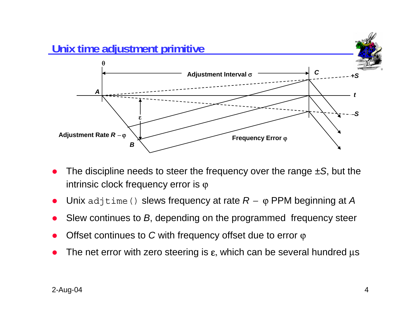

- O The discipline needs to steer the frequency over the range *±S*, but the intrinsic clock frequency error is  $\varphi$
- O Unix adjtime() slews frequency at rate *R* <sup>−</sup> ϕ PPM beginning at *A*
- O Slew continues to *B*, depending on the programmed frequency steer
- O Offset continues to *C* with frequency offset due to error ϕ
- O The net error with zero steering is  $\varepsilon$ , which can be several hundred  $\mu$ s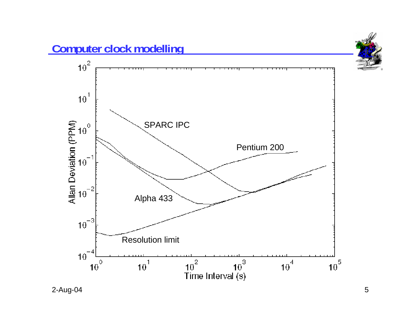

2-Aug-04 5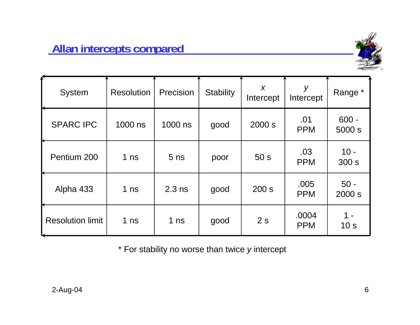

| System                  | <b>Resolution</b> | Precision       | <b>Stability</b> | X<br>Intercept  | У<br>Intercept      | Range *                |
|-------------------------|-------------------|-----------------|------------------|-----------------|---------------------|------------------------|
| <b>SPARC IPC</b>        | 1000 ns           | 1000 ns         | good             | 2000 s          | .01<br><b>PPM</b>   | $600 -$<br>5000 s      |
| Pentium 200             | 1 <sub>ns</sub>   | 5 <sub>ns</sub> | poor             | 50 <sub>s</sub> | .03<br><b>PPM</b>   | $10 -$<br>300 s        |
| Alpha 433               | 1 <sub>ns</sub>   | $2.3$ ns        | good             | 200 s           | .005<br><b>PPM</b>  | $50 -$<br>2000 s       |
| <b>Resolution limit</b> | 1 <sub>ns</sub>   | 1 <sub>ns</sub> | good             | 2s              | .0004<br><b>PPM</b> | 1 -<br>10 <sub>s</sub> |

\* For stability no worse than twice *y* intercept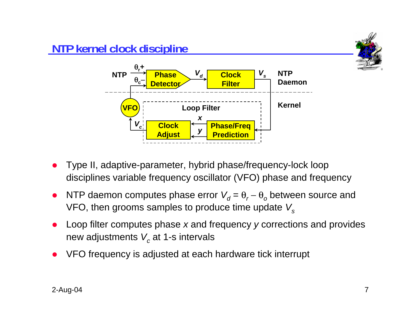

- O Type II, adaptive-parameter, hybrid phase/frequency-lock loop disciplines variable frequency oscillator (VFO) phase and frequency
- O • NTP daemon computes phase error  $V_d = \theta_r - \theta_o$  between source and VFO, then grooms samples to produce time update *Vs*
- O Loop filter computes phase *<sup>x</sup>* and frequency *y* corrections and provides new adjustments  $\boldsymbol{V_c}$  at 1-s intervals
- O VFO frequency is adjusted at each hardware tick interrupt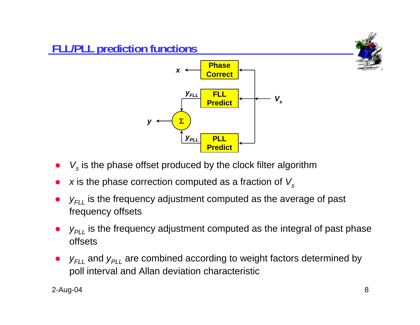



- $\bullet$  $\bullet\quad$   $V_{s}$  is the phase offset produced by the clock filter algorithm
- $\bullet$ *x* is the phase correction computed as a fraction of  $V_s$
- $\bullet$ •  $y_{FLL}$  is the frequency adjustment computed as the average of past frequency offsets
- $\bullet$  $\bullet$   $y_{PLL}$  is the frequency adjustment computed as the integral of past phase offsets
- $\bullet$  $y_{FLL}$  and  $y_{PLL}$  are combined according to weight factors determined by poll interval and Allan deviation characteristic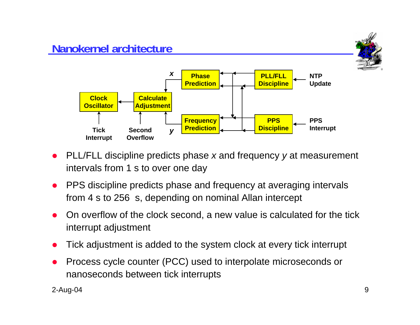## **Nanokernel architecture**





- O PLL/FLL discipline predicts phase *<sup>x</sup>* and frequency *y* at measurement intervals from 1 s to over one day
- O PPS discipline predicts phase and frequency at averaging intervals from 4 s to 256 s, depending on nominal Allan intercept
- O On overflow of the clock second, a new value is calculated for the tick interrupt adjustment
- $\bullet$ Tick adjustment is added to the system clock at every tick interrupt
- O Process cycle counter (PCC) used to interpolate microseconds or nanoseconds between tick interrupts

2-Aug-04 9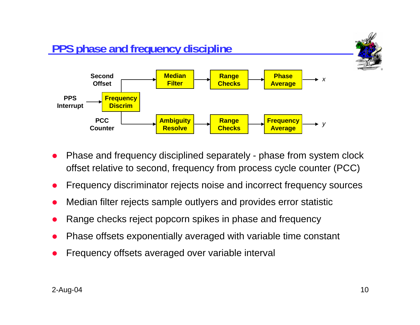

- O Phase and frequency disciplined separately - phase from system clock offset relative to second, frequency from process cycle counter (PCC)
- O Frequency discriminator rejects noise and incorrect frequency sources
- O Median filter rejects sample outlyers and provides error statistic
- O Range checks reject popcorn spikes in phase and frequency
- O Phase offsets exponentially averaged with variable time constant
- O Frequency offsets averaged over variable interval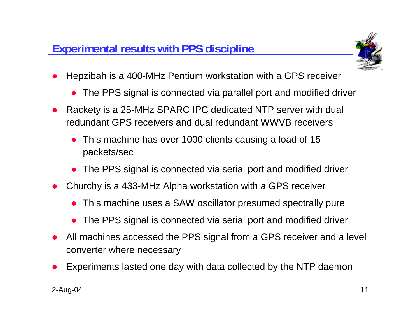

- O Hepzibah is a 400-MHz Pentium workstation with a GPS receiver
	- The PPS signal is connected via parallel port and modified driver
- O Rackety is a 25-MHz SPARC IPC dedicated NTP server with dual redundant GPS receivers and dual redundant WWVB receivers
	- $\bullet$  This machine has over 1000 clients causing a load of 15 packets/sec
	- The PPS signal is connected via serial port and modified driver
- O Churchy is a 433-MHz Alpha workstation with a GPS receiver
	- O This machine uses a SAW oscillator presumed spectrally pure
	- O The PPS signal is connected via serial port and modified driver
- O All machines accessed the PPS signal from a GPS receiver and a level converter where necessary
- O Experiments lasted one day with data collected by the NTP daemon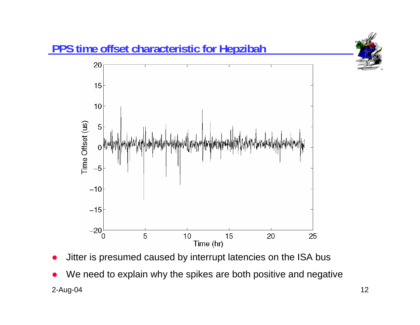

- O Jitter is presumed caused by interrupt latencies on the ISA bus
- 2-Aug-04 12 O We need to explain why the spikes are both positive and negative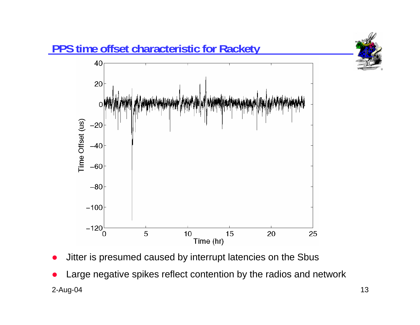

- O Jitter is presumed caused by interrupt latencies on the Sbus
- 2-Aug-04 13 O Large negative spikes reflect contention by the radios and network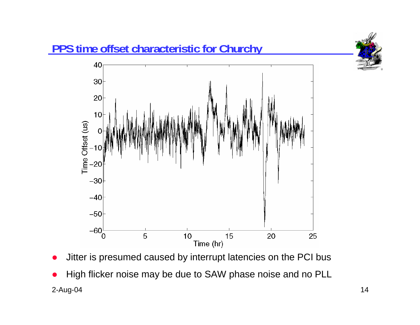

- O Jitter is presumed caused by interrupt latencies on the PCI bus
- 2-Aug-04 14 O High flicker noise may be due to SAW phase noise and no PLL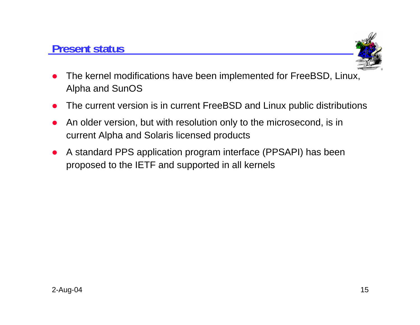#### **Present status**



- O The kernel modifications have been implemented for FreeBSD, Linux, Alpha and SunOS
- O The current version is in current FreeBSD and Linux public distributions
- O An older version, but with resolution only to the microsecond, is in current Alpha and Solaris licensed products
- O A standard PPS application program interface (PPSAPI) has been proposed to the IETF and supported in all kernels